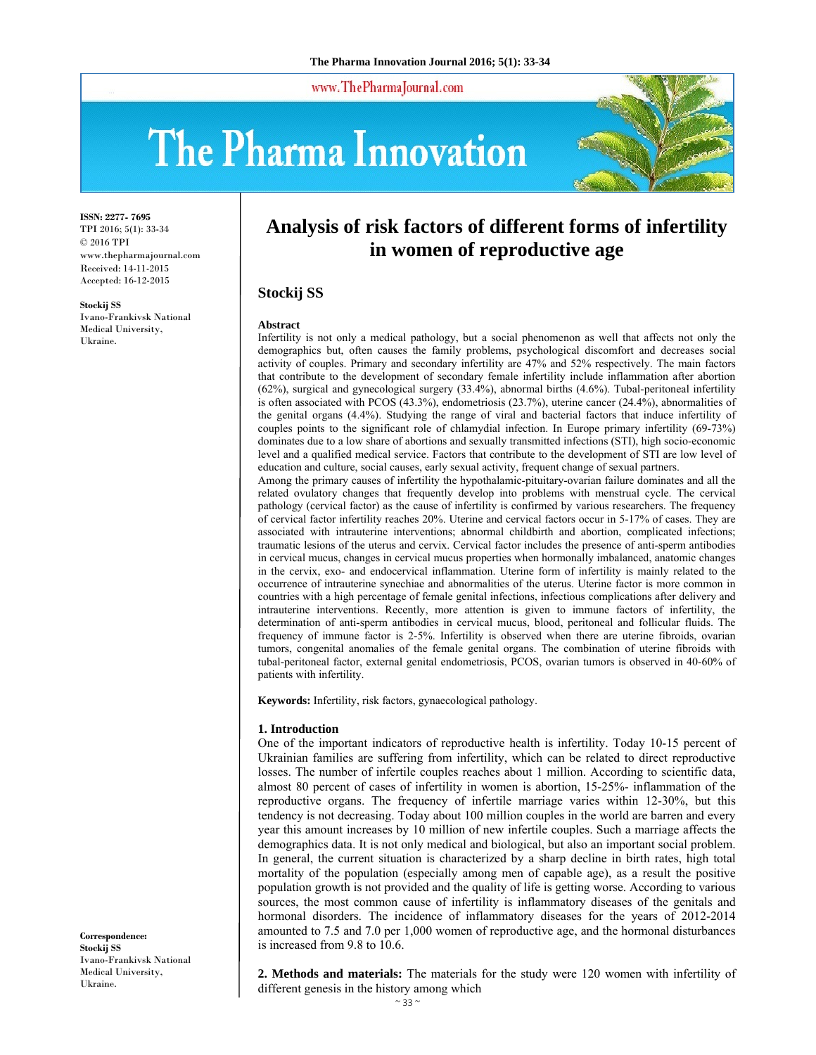www.ThePharmaJournal.com

# The Pharma Innovation



**ISSN: 2277- 7695** TPI 2016; 5(1): 33-34 © 2016 TPI www.thepharmajournal.com Received: 14-11-2015 Accepted: 16-12-2015

**Stockij SS**  Ivano-Frankivsk National Medical University, Ukraine.

## **Analysis of risk factors of different forms of infertility in women of reproductive age**

### **Stockij SS**

#### **Abstract**

Infertility is not only a medical pathology, but a social phenomenon as well that affects not only the demographics but, often causes the family problems, psychological discomfort and decreases social activity of couples. Primary and secondary infertility are 47% and 52% respectively. The main factors that contribute to the development of secondary female infertility include inflammation after abortion (62%), surgical and gynecological surgery (33.4%), abnormal births (4.6%). Tubal-peritoneal infertility is often associated with PCOS (43.3%), endometriosis (23.7%), uterine cancer (24.4%), abnormalities of the genital organs (4.4%). Studying the range of viral and bacterial factors that induce infertility of couples points to the significant role of chlamydial infection. In Europe primary infertility (69-73%) dominates due to a low share of abortions and sexually transmitted infections (STI), high socio-economic level and a qualified medical service. Factors that contribute to the development of STI are low level of education and culture, social causes, early sexual activity, frequent change of sexual partners.

Among the primary causes of infertility the hypothalamic-pituitary-ovarian failure dominates and all the related ovulatory changes that frequently develop into problems with menstrual cycle. The cervical pathology (cervical factor) as the cause of infertility is confirmed by various researchers. The frequency of cervical factor infertility reaches 20%. Uterine and cervical factors occur in 5-17% of cases. They are associated with intrauterine interventions; abnormal childbirth and abortion, complicated infections; traumatic lesions of the uterus and cervix. Cervical factor includes the presence of anti-sperm antibodies in cervical mucus, changes in cervical mucus properties when hormonally imbalanced, anatomic changes in the cervix, exo- and endocervical inflammation. Uterine form of infertility is mainly related to the occurrence of intrauterine synechiae and abnormalities of the uterus. Uterine factor is more common in countries with a high percentage of female genital infections, infectious complications after delivery and intrauterine interventions. Recently, more attention is given to immune factors of infertility, the determination of anti-sperm antibodies in cervical mucus, blood, peritoneal and follicular fluids. The frequency of immune factor is 2-5%. Infertility is observed when there are uterine fibroids, ovarian tumors, congenital anomalies of the female genital organs. The combination of uterine fibroids with tubal-peritoneal factor, external genital endometriosis, PCOS, ovarian tumors is observed in 40-60% of patients with infertility.

**Keywords:** Infertility, risk factors, gynaecological pathology.

#### **1. Introduction**

One of the important indicators of reproductive health is infertility. Today 10-15 percent of Ukrainian families are suffering from infertility, which can be related to direct reproductive losses. The number of infertile couples reaches about 1 million. According to scientific data, almost 80 percent of cases of infertility in women is abortion, 15-25%- inflammation of the reproductive organs. The frequency of infertile marriage varies within 12-30%, but this tendency is not decreasing. Today about 100 million couples in the world are barren and every year this amount increases by 10 million of new infertile couples. Such a marriage affects the demographics data. It is not only medical and biological, but also an important social problem. In general, the current situation is characterized by a sharp decline in birth rates, high total mortality of the population (especially among men of capable age), as a result the positive population growth is not provided and the quality of life is getting worse. According to various sources, the most common cause of infertility is inflammatory diseases of the genitals and hormonal disorders. The incidence of inflammatory diseases for the years of 2012-2014 amounted to 7.5 and 7.0 per 1,000 women of reproductive age, and the hormonal disturbances is increased from 9.8 to 10.6.

**Correspondence: Stockij SS**  Ivano-Frankivsk National Medical University, Ukraine.

**2. Methods and materials:** The materials for the study were 120 women with infertility of different genesis in the history among which